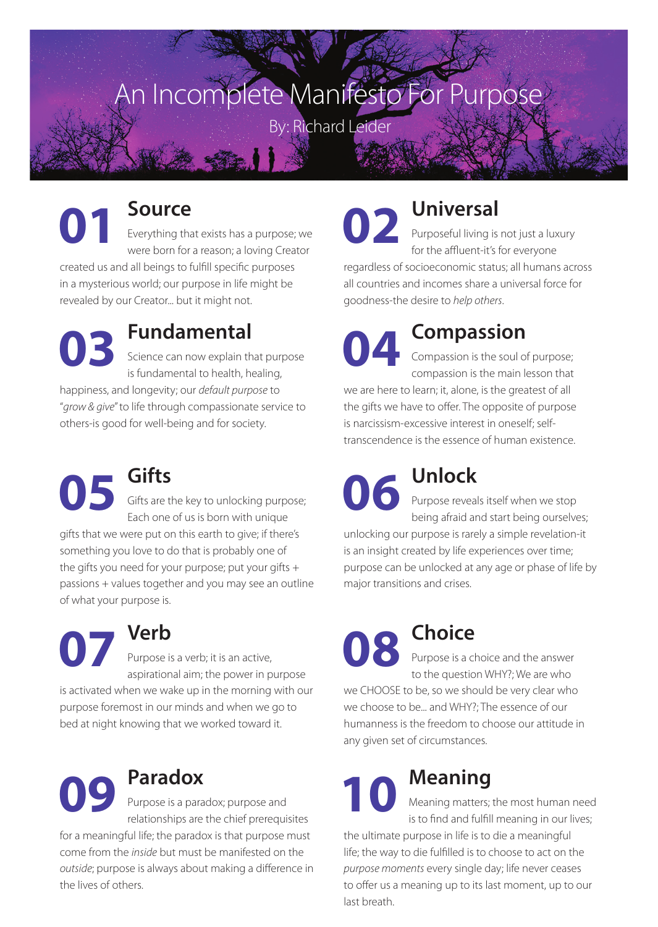# An Incomplete Manifesto For Purpose

By: Richard Leider

## **Source**

**01 s** Everything that exists has a purpose; we were born for a reason; a loving Creator created us and all beings to fulfill specific purposes in a mysterious world; our purpose in life might be revealed by our Creator... but it might not.

in a mysterious w<br>revealed by our C<br>**03** <br>is the state **Fundamental** Science can now explain that purpose is fundamental to health, healing, happiness, and longevity; our *default purpose* to "*grow & give*" to life through compassionate service to

others-is good for well-being and for society.

**05 Gifts** Gifts are the key to unlocking purpose; Each one of us is born with unique gifts that we were put on this earth to give; if there's something you love to do that is probably one of the gifts you need for your purpose; put your gifts + passions + values together and you may see an outline of what your purpose is.

passions + values<br>of what your purp<br> $\begin{bmatrix} 0 & 0 \\ 0 & 0 \end{bmatrix}$   $\begin{bmatrix} 0 & 0 \\ 0 & 0 \end{bmatrix}$ **Verb** Purpose is a verb; it is an active, aspirational aim; the power in purpose is activated when we wake up in the morning with our purpose foremost in our minds and when we go to bed at night knowing that we worked toward it.



## **Paradox**

Purpose is a paradox; purpose and relationships are the chief prerequisites

for a meaningful life; the paradox is that purpose must come from the *inside* but must be manifested on the *outside*; purpose is always about making a difference in the lives of others.

**02 a Universal** Purposeful living is not just a luxury for the affluent-it's for everyone regardless of socioeconomic status; all humans across all countries and incomes share a universal force for goodness-the desire to *help others*.

all countries and<br>goodness-the de

## **Compassion**

Compassion is the soul of purpose; compassion is the main lesson that we are here to learn; it, alone, is the greatest of all the gifts we have to offer. The opposite of purpose is narcissism-excessive interest in oneself; selftranscendence is the essence of human existence. transcendence is<br> **06** Pu be

**Unlock** Purpose reveals itself when we stop being afraid and start being ourselves; unlocking our purpose is rarely a simple revelation-it

is an insight created by life experiences over time; purpose can be unlocked at any age or phase of life by major transitions and crises.

**08 Choice** Purpose is a choice and the answer to the question WHY?; We are who we CHOOSE to be, so we should be very clear who we choose to be... and WHY?; The essence of our humanness is the freedom to choose our attitude in any given set of circumstances.<br> **10 Meaning**<br>
<sup>Meaning</sup> matters is to find and fulf

## **Meaning**

Meaning matters; the most human need is to find and fulfill meaning in our lives;

the ultimate purpose in life is to die a meaningful life; the way to die fulfilled is to choose to act on the *purpose moments* every single day; life never ceases to offer us a meaning up to its last moment, up to our last breath.